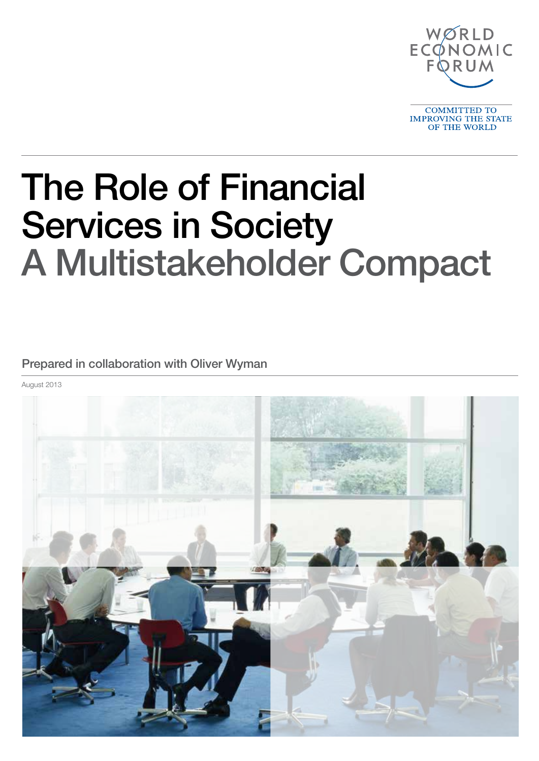

**COMMITTED TO** IMPROVING THE STATE<br>OF THE WORLD

## The Role of Financial Services in Society A Multistakeholder Compact

## Prepared in collaboration with Oliver Wyman

August 2013

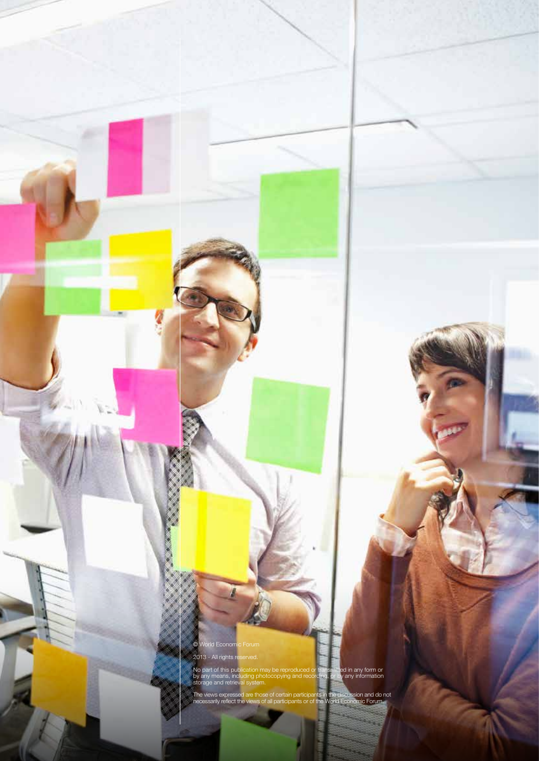### © World Econom

2013 - All rights re

No part of this publication may be reproduced or transmitted in any form or by any means, including photocopying and recording, or by any information storage and retrieval system.

The views expressed are those of certain participants in the discussion and do not necessarily reflect the views of all participants or of the World Economic Forum.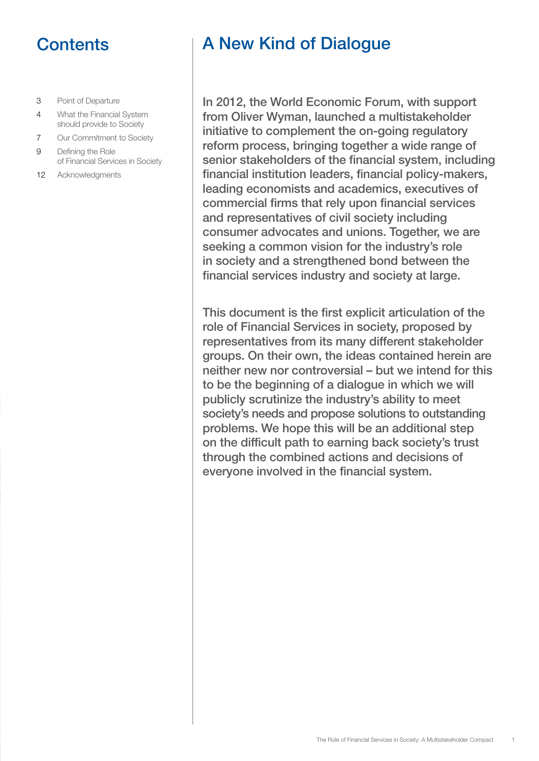- 3 Point of Departure
- 4 What the Financial System should provide to Society
- 7 Our Commitment to Society
- 9 Defining the Role of Financial Services in Society
- 12 Acknowledgments

## Contents A New Kind of Dialogue

In 2012, the World Economic Forum, with support from Oliver Wyman, launched a multistakeholder initiative to complement the on-going regulatory reform process, bringing together a wide range of senior stakeholders of the financial system, including financial institution leaders, financial policy-makers, leading economists and academics, executives of commercial firms that rely upon financial services and representatives of civil society including consumer advocates and unions. Together, we are seeking a common vision for the industry's role in society and a strengthened bond between the financial services industry and society at large.

This document is the first explicit articulation of the role of Financial Services in society, proposed by representatives from its many different stakeholder groups. On their own, the ideas contained herein are neither new nor controversial – but we intend for this to be the beginning of a dialogue in which we will publicly scrutinize the industry's ability to meet society's needs and propose solutions to outstanding problems. We hope this will be an additional step on the difficult path to earning back society's trust through the combined actions and decisions of everyone involved in the financial system.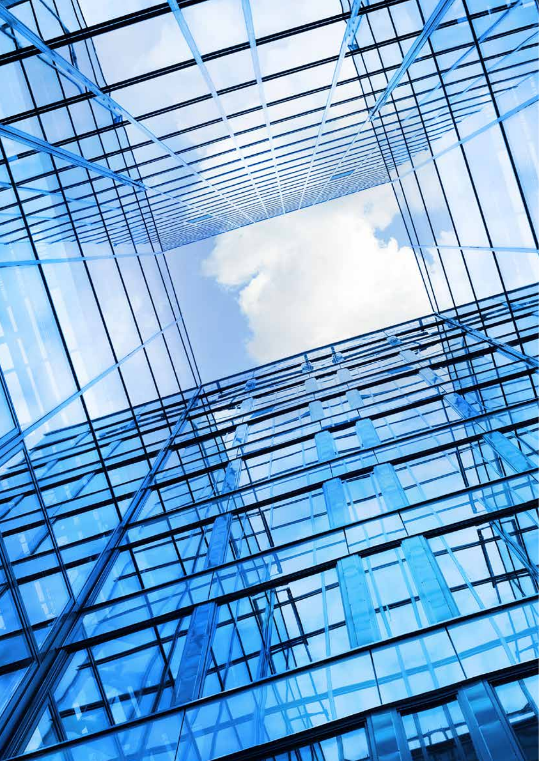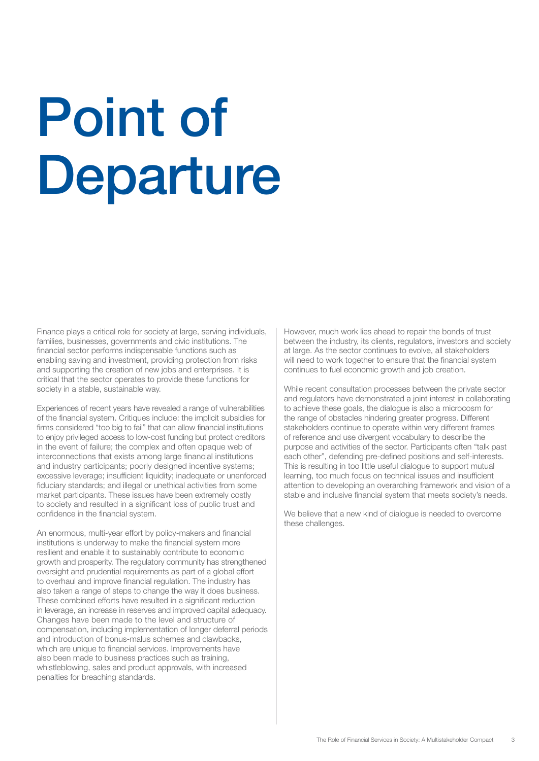## Point of Departure

Finance plays a critical role for society at large, serving individuals, families, businesses, governments and civic institutions. The financial sector performs indispensable functions such as enabling saving and investment, providing protection from risks and supporting the creation of new jobs and enterprises. It is critical that the sector operates to provide these functions for society in a stable, sustainable way.

Experiences of recent years have revealed a range of vulnerabilities of the financial system. Critiques include: the implicit subsidies for firms considered "too big to fail" that can allow financial institutions to enjoy privileged access to low-cost funding but protect creditors in the event of failure; the complex and often opaque web of interconnections that exists among large financial institutions and industry participants; poorly designed incentive systems; excessive leverage; insufficient liquidity; inadequate or unenforced fiduciary standards; and illegal or unethical activities from some market participants. These issues have been extremely costly to society and resulted in a significant loss of public trust and confidence in the financial system.

An enormous, multi-year effort by policy-makers and financial institutions is underway to make the financial system more resilient and enable it to sustainably contribute to economic growth and prosperity. The regulatory community has strengthened oversight and prudential requirements as part of a global effort to overhaul and improve financial regulation. The industry has also taken a range of steps to change the way it does business. These combined efforts have resulted in a significant reduction in leverage, an increase in reserves and improved capital adequacy. Changes have been made to the level and structure of compensation, including implementation of longer deferral periods and introduction of bonus-malus schemes and clawbacks, which are unique to financial services. Improvements have also been made to business practices such as training, whistleblowing, sales and product approvals, with increased penalties for breaching standards.

However, much work lies ahead to repair the bonds of trust between the industry, its clients, regulators, investors and society at large. As the sector continues to evolve, all stakeholders will need to work together to ensure that the financial system continues to fuel economic growth and job creation.

While recent consultation processes between the private sector and regulators have demonstrated a joint interest in collaborating to achieve these goals, the dialogue is also a microcosm for the range of obstacles hindering greater progress. Different stakeholders continue to operate within very different frames of reference and use divergent vocabulary to describe the purpose and activities of the sector. Participants often "talk past each other", defending pre-defined positions and self-interests. This is resulting in too little useful dialogue to support mutual learning, too much focus on technical issues and insufficient attention to developing an overarching framework and vision of a stable and inclusive financial system that meets society's needs.

We believe that a new kind of dialogue is needed to overcome these challenges.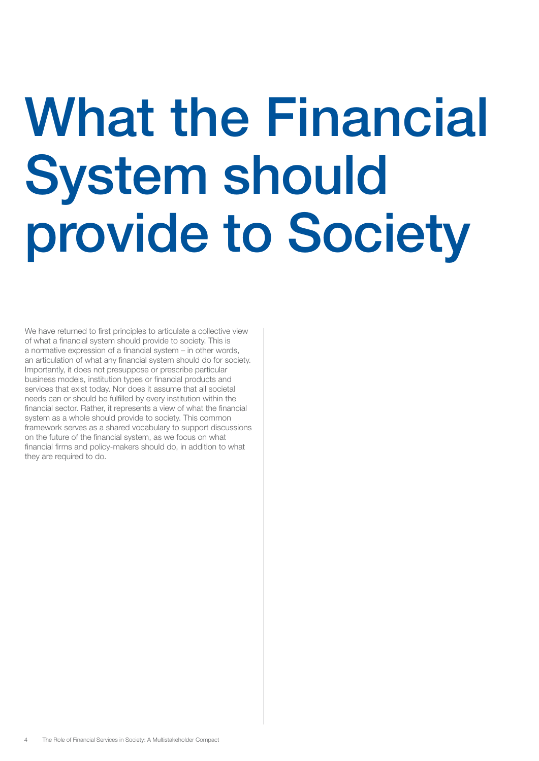# What the Financial System should provide to Society

We have returned to first principles to articulate a collective view of what a financial system should provide to society. This is a normative expression of a financial system – in other words, an articulation of what any financial system should do for society. Importantly, it does not presuppose or prescribe particular business models, institution types or financial products and services that exist today. Nor does it assume that all societal needs can or should be fulfilled by every institution within the financial sector. Rather, it represents a view of what the financial system as a whole should provide to society. This common framework serves as a shared vocabulary to support discussions on the future of the financial system, as we focus on what financial firms and policy-makers should do, in addition to what they are required to do.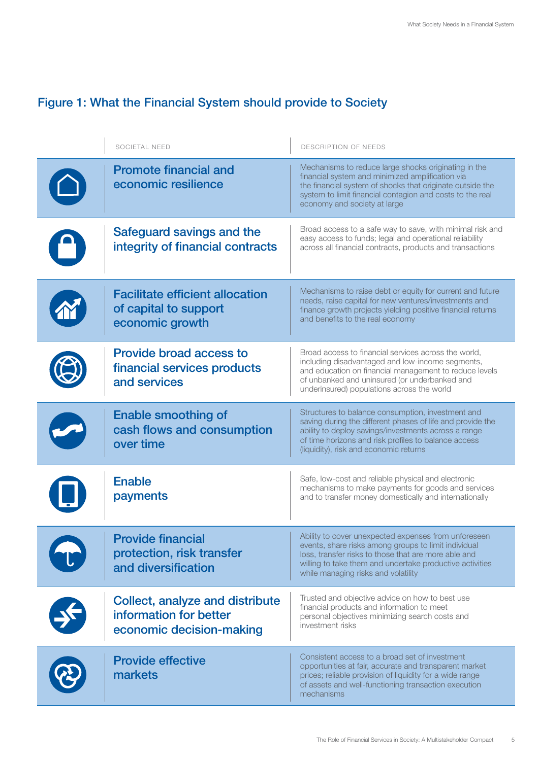## Figure 1: What the Financial System should provide to Society

| <b>SOCIETAL NEED</b>                                                                         | DESCRIPTION OF NEEDS                                                                                                                                                                                                                                                      |
|----------------------------------------------------------------------------------------------|---------------------------------------------------------------------------------------------------------------------------------------------------------------------------------------------------------------------------------------------------------------------------|
| <b>Promote financial and</b><br>economic resilience                                          | Mechanisms to reduce large shocks originating in the<br>financial system and minimized amplification via<br>the financial system of shocks that originate outside the<br>system to limit financial contagion and costs to the real<br>economy and society at large        |
| Safeguard savings and the<br>integrity of financial contracts                                | Broad access to a safe way to save, with minimal risk and<br>easy access to funds; legal and operational reliability<br>across all financial contracts, products and transactions                                                                                         |
| <b>Facilitate efficient allocation</b><br>of capital to support<br>economic growth           | Mechanisms to raise debt or equity for current and future<br>needs, raise capital for new ventures/investments and<br>finance growth projects yielding positive financial returns<br>and benefits to the real economy                                                     |
| <b>Provide broad access to</b><br>financial services products<br>and services                | Broad access to financial services across the world,<br>including disadvantaged and low-income segments,<br>and education on financial management to reduce levels<br>of unbanked and uninsured (or underbanked and<br>underinsured) populations across the world         |
| <b>Enable smoothing of</b><br>cash flows and consumption<br>over time                        | Structures to balance consumption, investment and<br>saving during the different phases of life and provide the<br>ability to deploy savings/investments across a range<br>of time horizons and risk profiles to balance access<br>(liquidity), risk and economic returns |
| <b>Enable</b><br>payments                                                                    | Safe, low-cost and reliable physical and electronic<br>mechanisms to make payments for goods and services<br>and to transfer money domestically and internationally                                                                                                       |
| <b>Provide financial</b><br>protection, risk transfer<br>and diversification                 | Ability to cover unexpected expenses from unforeseen<br>events, share risks among groups to limit individual<br>loss, transfer risks to those that are more able and<br>willing to take them and undertake productive activities<br>while managing risks and volatility   |
| <b>Collect, analyze and distribute</b><br>information for better<br>economic decision-making | Trusted and objective advice on how to best use<br>financial products and information to meet<br>personal objectives minimizing search costs and<br>investment risks                                                                                                      |
| <b>Provide effective</b><br>markets                                                          | Consistent access to a broad set of investment<br>opportunities at fair, accurate and transparent market<br>prices; reliable provision of liquidity for a wide range<br>of assets and well-functioning transaction execution<br>mechanisms                                |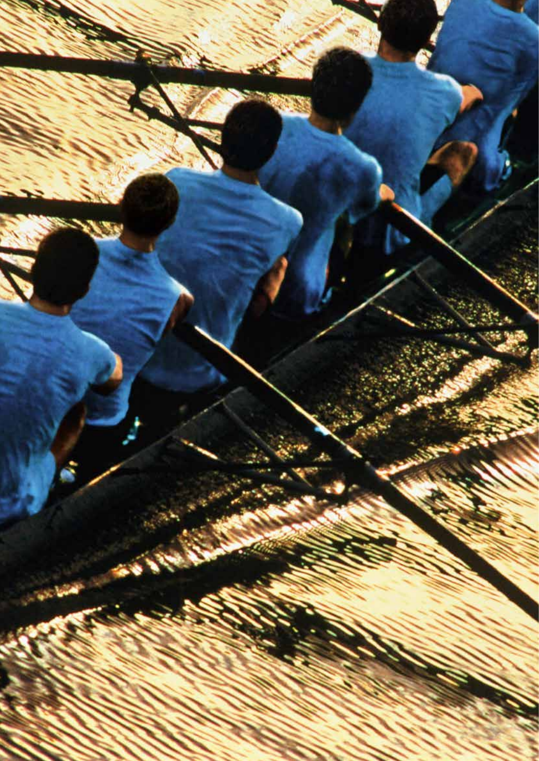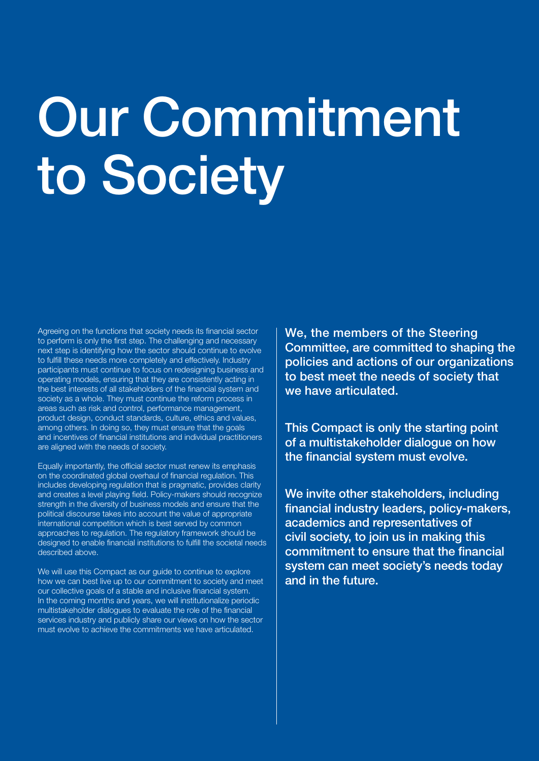## Our Commitment to Society

Agreeing on the functions that society needs its financial sector to perform is only the first step. The challenging and necessary next step is identifying how the sector should continue to evolve to fulfill these needs more completely and effectively. Industry participants must continue to focus on redesigning business and operating models, ensuring that they are consistently acting in the best interests of all stakeholders of the financial system and society as a whole. They must continue the reform process in areas such as risk and control, performance management, product design, conduct standards, culture, ethics and values, among others. In doing so, they must ensure that the goals and incentives of financial institutions and individual practitioners are aligned with the needs of society.

Equally importantly, the official sector must renew its emphasis on the coordinated global overhaul of financial regulation. This includes developing regulation that is pragmatic, provides clarity and creates a level playing field. Policy-makers should recognize strength in the diversity of business models and ensure that the political discourse takes into account the value of appropriate international competition which is best served by common approaches to regulation. The regulatory framework should be designed to enable financial institutions to fulfill the societal needs described above.

We will use this Compact as our guide to continue to explore how we can best live up to our commitment to society and meet our collective goals of a stable and inclusive financial system. In the coming months and years, we will institutionalize periodic multistakeholder dialogues to evaluate the role of the financial services industry and publicly share our views on how the sector must evolve to achieve the commitments we have articulated.

We, the members of the Steering Committee, are committed to shaping the policies and actions of our organizations to best meet the needs of society that we have articulated.

This Compact is only the starting point of a multistakeholder dialogue on how the financial system must evolve.

We invite other stakeholders, including financial industry leaders, policy-makers, academics and representatives of civil society, to join us in making this commitment to ensure that the financial system can meet society's needs today and in the future.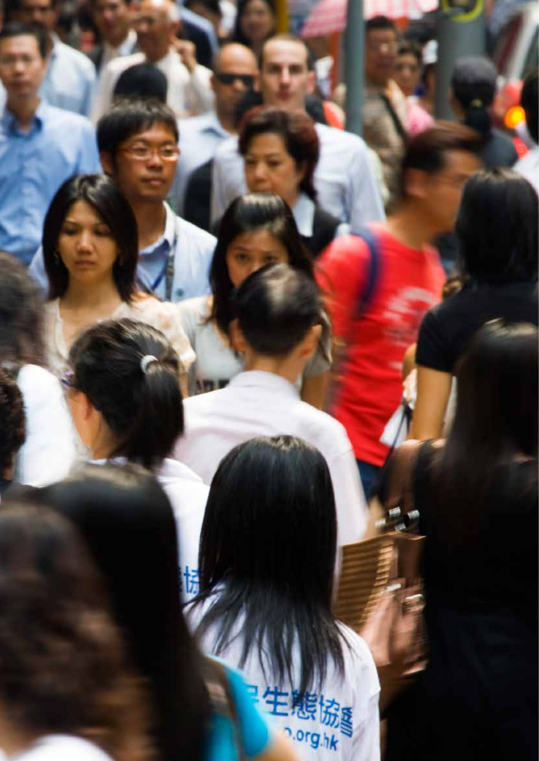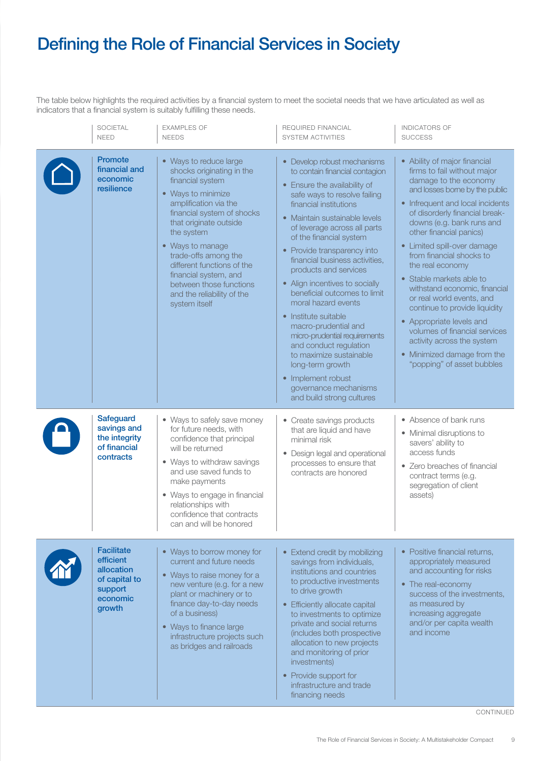## Defining the Role of Financial Services in Society

The table below highlights the required activities by a financial system to meet the societal needs that we have articulated as well as indicators that a financial system is suitably fulfilling these needs.

| <b>SOCIETAL</b><br><b>NEED</b>                                                                 | <b>EXAMPLES OF</b><br><b>NEEDS</b>                                                                                                                                                                                                                                                                                                                                        | REQUIRED FINANCIAL<br>SYSTEM ACTIVITIES                                                                                                                                                                                                                                                                                                                                                                                                                                                                                                                                                                                                                                      | INDICATORS OF<br><b>SUCCESS</b>                                                                                                                                                                                                                                                                                                                                                                                                                                                                                                                                                                                                 |
|------------------------------------------------------------------------------------------------|---------------------------------------------------------------------------------------------------------------------------------------------------------------------------------------------------------------------------------------------------------------------------------------------------------------------------------------------------------------------------|------------------------------------------------------------------------------------------------------------------------------------------------------------------------------------------------------------------------------------------------------------------------------------------------------------------------------------------------------------------------------------------------------------------------------------------------------------------------------------------------------------------------------------------------------------------------------------------------------------------------------------------------------------------------------|---------------------------------------------------------------------------------------------------------------------------------------------------------------------------------------------------------------------------------------------------------------------------------------------------------------------------------------------------------------------------------------------------------------------------------------------------------------------------------------------------------------------------------------------------------------------------------------------------------------------------------|
| Promote<br>financial and<br>economic<br>resilience                                             | • Ways to reduce large<br>shocks originating in the<br>financial system<br>• Ways to minimize<br>amplification via the<br>financial system of shocks<br>that originate outside<br>the system<br>• Ways to manage<br>trade-offs among the<br>different functions of the<br>financial system, and<br>between those functions<br>and the reliability of the<br>system itself | • Develop robust mechanisms<br>to contain financial contagion<br>• Ensure the availability of<br>safe ways to resolve failing<br>financial institutions<br>• Maintain sustainable levels<br>of leverage across all parts<br>of the financial system<br>• Provide transparency into<br>financial business activities,<br>products and services<br>• Align incentives to socially<br>beneficial outcomes to limit<br>moral hazard events<br>• Institute suitable<br>macro-prudential and<br>micro-prudential requirements<br>and conduct regulation<br>to maximize sustainable<br>long-term growth<br>• Implement robust<br>governance mechanisms<br>and build strong cultures | Ability of major financial<br>firms to fail without major<br>damage to the economy<br>and losses borne by the public<br>• Infrequent and local incidents<br>of disorderly financial break-<br>downs (e.g. bank runs and<br>other financial panics)<br>• Limited spill-over damage<br>from financial shocks to<br>the real economy<br>Stable markets able to<br>$\bullet$<br>withstand economic, financial<br>or real world events, and<br>continue to provide liquidity<br>• Appropriate levels and<br>volumes of financial services<br>activity across the system<br>• Minimized damage from the<br>"popping" of asset bubbles |
| <b>Safeguard</b><br>savings and<br>the integrity<br>of financial<br>contracts                  | • Ways to safely save money<br>for future needs, with<br>confidence that principal<br>will be returned<br>• Ways to withdraw savings<br>and use saved funds to<br>make payments<br>• Ways to engage in financial<br>relationships with<br>confidence that contracts<br>can and will be honored                                                                            | • Create savings products<br>that are liquid and have<br>minimal risk<br>• Design legal and operational<br>processes to ensure that<br>contracts are honored                                                                                                                                                                                                                                                                                                                                                                                                                                                                                                                 | • Absence of bank runs<br>• Minimal disruptions to<br>savers' ability to<br>access funds<br>• Zero breaches of financial<br>contract terms (e.g.<br>segregation of client<br>assets)                                                                                                                                                                                                                                                                                                                                                                                                                                            |
| <b>Facilitate</b><br>efficient<br>allocation<br>of capital to<br>support<br>economic<br>growth | • Ways to borrow money for<br>current and future needs<br>• Ways to raise money for a<br>new venture (e.g. for a new<br>plant or machinery or to<br>finance day-to-day needs<br>of a business)<br>• Ways to finance large<br>infrastructure projects such<br>as bridges and railroads                                                                                     | • Extend credit by mobilizing<br>savings from individuals,<br>institutions and countries<br>to productive investments<br>to drive growth<br>• Efficiently allocate capital<br>to investments to optimize<br>private and social returns<br>(includes both prospective<br>allocation to new projects<br>and monitoring of prior<br>investments)<br>• Provide support for<br>infrastructure and trade<br>financing needs                                                                                                                                                                                                                                                        | Positive financial returns,<br>appropriately measured<br>and accounting for risks<br>• The real-economy<br>success of the investments,<br>as measured by<br>increasing aggregate<br>and/or per capita wealth<br>and income                                                                                                                                                                                                                                                                                                                                                                                                      |

continued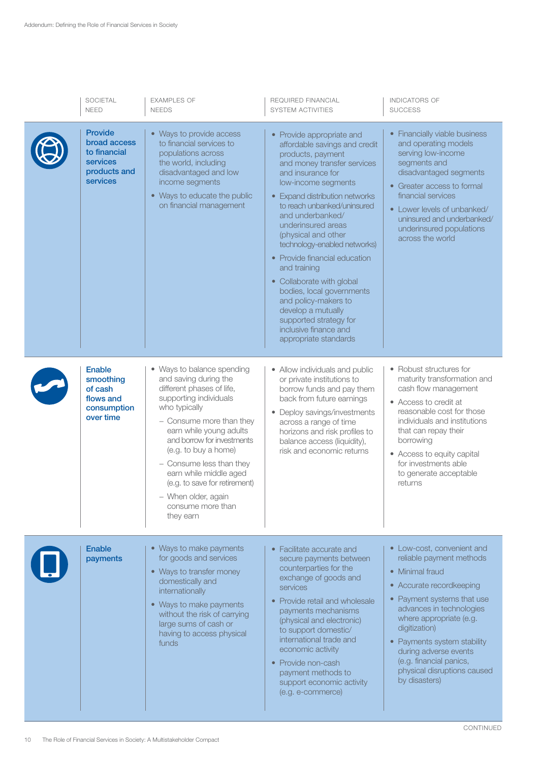| SOCIETAL<br><b>NEED</b>                                                                | <b>EXAMPLES OF</b><br><b>NEEDS</b>                                                                                                                                                                                                                                                                                                                                                       | REQUIRED FINANCIAL<br><b>SYSTEM ACTIVITIES</b>                                                                                                                                                                                                                                                                                                                                                                                                                                                                                                                    | <b>INDICATORS OF</b><br><b>SUCCESS</b>                                                                                                                                                                                                                                                                                                                               |
|----------------------------------------------------------------------------------------|------------------------------------------------------------------------------------------------------------------------------------------------------------------------------------------------------------------------------------------------------------------------------------------------------------------------------------------------------------------------------------------|-------------------------------------------------------------------------------------------------------------------------------------------------------------------------------------------------------------------------------------------------------------------------------------------------------------------------------------------------------------------------------------------------------------------------------------------------------------------------------------------------------------------------------------------------------------------|----------------------------------------------------------------------------------------------------------------------------------------------------------------------------------------------------------------------------------------------------------------------------------------------------------------------------------------------------------------------|
| <b>Provide</b><br>broad access<br>to financial<br>services<br>products and<br>services | • Ways to provide access<br>to financial services to<br>populations across<br>the world, including<br>disadvantaged and low<br>income segments<br>• Ways to educate the public<br>on financial management                                                                                                                                                                                | • Provide appropriate and<br>affordable savings and credit<br>products, payment<br>and money transfer services<br>and insurance for<br>low-income segments<br>• Expand distribution networks<br>to reach unbanked/uninsured<br>and underbanked/<br>underinsured areas<br>(physical and other<br>technology-enabled networks)<br>• Provide financial education<br>and training<br>• Collaborate with global<br>bodies, local governments<br>and policy-makers to<br>develop a mutually<br>supported strategy for<br>inclusive finance and<br>appropriate standards | Financially viable business<br>and operating models<br>serving low-income<br>segments and<br>disadvantaged segments<br>Greater access to formal<br>$\bullet$<br>financial services<br>• Lower levels of unbanked/<br>uninsured and underbanked/<br>underinsured populations<br>across the world                                                                      |
| Enable<br>smoothing<br>of cash<br>flows and<br>consumption<br>over time                | • Ways to balance spending<br>and saving during the<br>different phases of life,<br>supporting individuals<br>who typically<br>- Consume more than they<br>earn while young adults<br>and borrow for investments<br>(e.g. to buy a home)<br>- Consume less than they<br>earn while middle aged<br>(e.g. to save for retirement)<br>- When older, again<br>consume more than<br>they earn | • Allow individuals and public<br>or private institutions to<br>borrow funds and pay them<br>back from future earnings<br>• Deploy savings/investments<br>across a range of time<br>horizons and risk profiles to<br>balance access (liquidity),<br>risk and economic returns                                                                                                                                                                                                                                                                                     | • Robust structures for<br>maturity transformation and<br>cash flow management<br>• Access to credit at<br>reasonable cost for those<br>individuals and institutions<br>that can repay their<br>borrowing<br>• Access to equity capital<br>for investments able<br>to generate acceptable<br>returns                                                                 |
| <b>Enable</b><br>payments                                                              | • Ways to make payments<br>for goods and services<br>• Ways to transfer money<br>domestically and<br>internationally<br>• Ways to make payments<br>without the risk of carrying<br>large sums of cash or<br>having to access physical<br>funds                                                                                                                                           | • Facilitate accurate and<br>secure payments between<br>counterparties for the<br>exchange of goods and<br>services<br>• Provide retail and wholesale<br>payments mechanisms<br>(physical and electronic)<br>to support domestic/<br>international trade and<br>economic activity<br>• Provide non-cash<br>payment methods to<br>support economic activity<br>(e.g. e-commerce)                                                                                                                                                                                   | • Low-cost, convenient and<br>reliable payment methods<br>• Minimal fraud<br>Accurate recordkeeping<br>$\bullet$<br>Payment systems that use<br>$\bullet$<br>advances in technologies<br>where appropriate (e.g.<br>digitization)<br>• Payments system stability<br>during adverse events<br>(e.g. financial panics,<br>physical disruptions caused<br>by disasters) |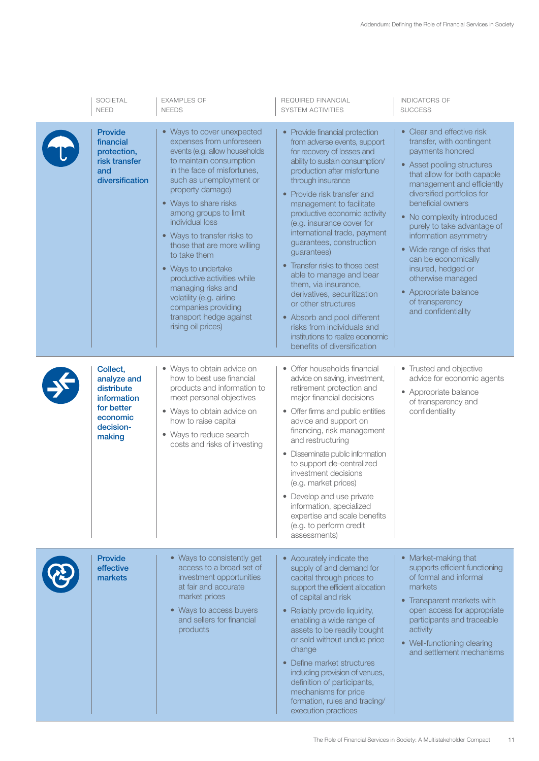| <b>SOCIETAL</b><br><b>NEED</b>                                                                        | <b>EXAMPLES OF</b><br><b>NEEDS</b>                                                                                                                                                                                                                                                                                                                                                                                                                                                                                                  | <b>REQUIRED FINANCIAL</b><br><b>SYSTEM ACTIVITIES</b>                                                                                                                                                                                                                                                                                                                                                                                                                                                                                                                                                                                                             | <b>INDICATORS OF</b><br><b>SUCCESS</b>                                                                                                                                                                                                                                                                                                                                                                                                                                             |
|-------------------------------------------------------------------------------------------------------|-------------------------------------------------------------------------------------------------------------------------------------------------------------------------------------------------------------------------------------------------------------------------------------------------------------------------------------------------------------------------------------------------------------------------------------------------------------------------------------------------------------------------------------|-------------------------------------------------------------------------------------------------------------------------------------------------------------------------------------------------------------------------------------------------------------------------------------------------------------------------------------------------------------------------------------------------------------------------------------------------------------------------------------------------------------------------------------------------------------------------------------------------------------------------------------------------------------------|------------------------------------------------------------------------------------------------------------------------------------------------------------------------------------------------------------------------------------------------------------------------------------------------------------------------------------------------------------------------------------------------------------------------------------------------------------------------------------|
| <b>Provide</b><br>financial<br>protection,<br>risk transfer<br>and<br>diversification                 | • Ways to cover unexpected<br>expenses from unforeseen<br>events (e.g. allow households<br>to maintain consumption<br>in the face of misfortunes.<br>such as unemployment or<br>property damage)<br>• Ways to share risks<br>among groups to limit<br>individual loss<br>• Ways to transfer risks to<br>those that are more willing<br>to take them<br>• Ways to undertake<br>productive activities while<br>managing risks and<br>volatility (e.g. airline<br>companies providing<br>transport hedge against<br>rising oil prices) | • Provide financial protection<br>from adverse events, support<br>for recovery of losses and<br>ability to sustain consumption/<br>production after misfortune<br>through insurance<br>• Provide risk transfer and<br>management to facilitate<br>productive economic activity<br>(e.g. insurance cover for<br>international trade, payment<br>guarantees, construction<br>guarantees)<br>• Transfer risks to those best<br>able to manage and bear<br>them, via insurance,<br>derivatives, securitization<br>or other structures<br>• Absorb and pool different<br>risks from individuals and<br>institutions to realize economic<br>benefits of diversification | • Clear and effective risk<br>transfer, with contingent<br>payments honored<br>• Asset pooling structures<br>that allow for both capable<br>management and efficiently<br>diversified portfolios for<br>beneficial owners<br>• No complexity introduced<br>purely to take advantage of<br>information asymmetry<br>• Wide range of risks that<br>can be economically<br>insured, hedged or<br>otherwise managed<br>• Appropriate balance<br>of transparency<br>and confidentiality |
| Collect,<br>analyze and<br>distribute<br>information<br>for better<br>economic<br>decision-<br>making | • Ways to obtain advice on<br>how to best use financial<br>products and information to<br>meet personal objectives<br>• Ways to obtain advice on<br>how to raise capital<br>• Ways to reduce search<br>costs and risks of investing                                                                                                                                                                                                                                                                                                 | • Offer households financial<br>advice on saving, investment,<br>retirement protection and<br>major financial decisions<br>• Offer firms and public entities<br>advice and support on<br>financing, risk management<br>and restructuring<br>• Disseminate public information<br>to support de-centralized<br>investment decisions<br>(e.g. market prices)<br>• Develop and use private<br>information, specialized<br>expertise and scale benefits<br>(e.g. to perform credit<br>assessments)                                                                                                                                                                     | • Trusted and objective<br>advice for economic agents<br>• Appropriate balance<br>of transparency and<br>confidentiality                                                                                                                                                                                                                                                                                                                                                           |
| <b>Provide</b><br>effective<br>markets                                                                | • Ways to consistently get<br>access to a broad set of<br>investment opportunities<br>at fair and accurate<br>market prices<br>• Ways to access buyers<br>and sellers for financial<br>products                                                                                                                                                                                                                                                                                                                                     | • Accurately indicate the<br>supply of and demand for<br>capital through prices to<br>support the efficient allocation<br>of capital and risk<br>• Reliably provide liquidity,<br>enabling a wide range of<br>assets to be readily bought<br>or sold without undue price<br>change<br>• Define market structures<br>including provision of venues,<br>definition of participants,<br>mechanisms for price<br>formation, rules and trading/<br>execution practices                                                                                                                                                                                                 | • Market-making that<br>supports efficient functioning<br>of formal and informal<br>markets<br>Transparent markets with<br>$\bullet$<br>open access for appropriate<br>participants and traceable<br>activity<br>• Well-functioning clearing<br>and settlement mechanisms                                                                                                                                                                                                          |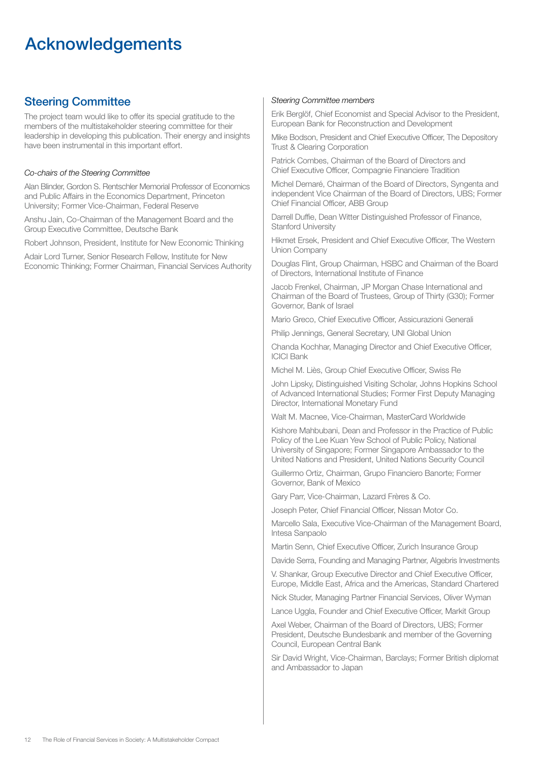## Acknowledgements

## Steering Committee

The project team would like to offer its special gratitude to the members of the multistakeholder steering committee for their leadership in developing this publication. Their energy and insights have been instrumental in this important effort.

### *Co-chairs of the Steering Committee*

Alan Blinder, Gordon S. Rentschler Memorial Professor of Economics and Public Affairs in the Economics Department, Princeton University; Former Vice-Chairman, Federal Reserve

Anshu Jain, Co-Chairman of the Management Board and the Group Executive Committee, Deutsche Bank

Robert Johnson, President, Institute for New Economic Thinking

Adair Lord Turner, Senior Research Fellow, Institute for New Economic Thinking; Former Chairman, Financial Services Authority

### *Steering Committee members*

Erik Berglöf, Chief Economist and Special Advisor to the President, European Bank for Reconstruction and Development

Mike Bodson, President and Chief Executive Officer, The Depository Trust & Clearing Corporation

Patrick Combes, Chairman of the Board of Directors and Chief Executive Officer, Compagnie Financiere Tradition

Michel Demaré, Chairman of the Board of Directors, Syngenta and independent Vice Chairman of the Board of Directors, UBS; Former Chief Financial Officer, ABB Group

Darrell Duffie, Dean Witter Distinguished Professor of Finance, Stanford University

Hikmet Ersek, President and Chief Executive Officer, The Western Union Company

Douglas Flint, Group Chairman, HSBC and Chairman of the Board of Directors, International Institute of Finance

Jacob Frenkel, Chairman, JP Morgan Chase International and Chairman of the Board of Trustees, Group of Thirty (G30); Former Governor, Bank of Israel

Mario Greco, Chief Executive Officer, Assicurazioni Generali

Philip Jennings, General Secretary, UNI Global Union

Chanda Kochhar, Managing Director and Chief Executive Officer, ICICI Bank

Michel M. Liès, Group Chief Executive Officer, Swiss Re

John Lipsky, Distinguished Visiting Scholar, Johns Hopkins School of Advanced International Studies; Former First Deputy Managing Director, International Monetary Fund

Walt M. Macnee, Vice-Chairman, MasterCard Worldwide

Kishore Mahbubani, Dean and Professor in the Practice of Public Policy of the Lee Kuan Yew School of Public Policy, National University of Singapore; Former Singapore Ambassador to the United Nations and President, United Nations Security Council

Guillermo Ortiz, Chairman, Grupo Financiero Banorte; Former Governor, Bank of Mexico

Gary Parr, Vice-Chairman, Lazard Frères & Co.

Joseph Peter, Chief Financial Officer, Nissan Motor Co.

Marcello Sala, Executive Vice-Chairman of the Management Board, Intesa Sanpaolo

Martin Senn, Chief Executive Officer, Zurich Insurance Group

Davide Serra, Founding and Managing Partner, Algebris Investments

V. Shankar, Group Executive Director and Chief Executive Officer, Europe, Middle East, Africa and the Americas, Standard Chartered

Nick Studer, Managing Partner Financial Services, Oliver Wyman

Lance Uggla, Founder and Chief Executive Officer, Markit Group

Axel Weber, Chairman of the Board of Directors, UBS; Former President, Deutsche Bundesbank and member of the Governing Council, European Central Bank

Sir David Wright, Vice-Chairman, Barclays; Former British diplomat and Ambassador to Japan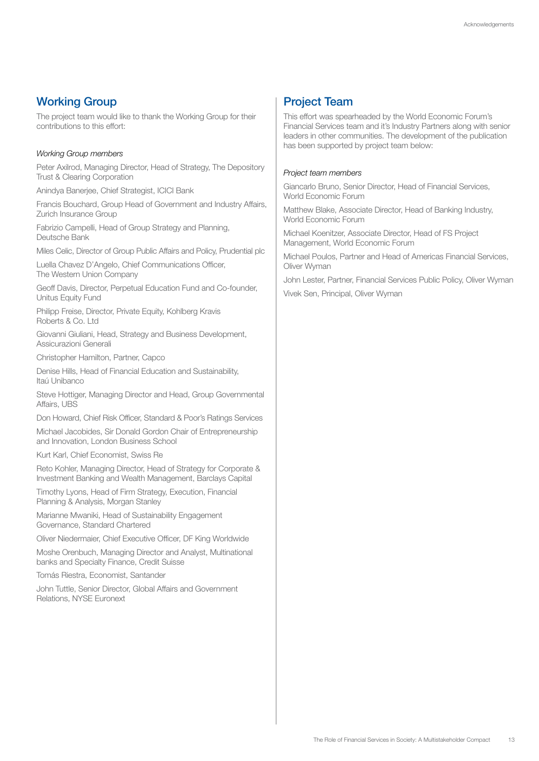## Working Group

The project team would like to thank the Working Group for their contributions to this effort:

#### *Working Group members*

Peter Axilrod, Managing Director, Head of Strategy, The Depository Trust & Clearing Corporation

Anindya Banerjee, Chief Strategist, ICICI Bank

Francis Bouchard, Group Head of Government and Industry Affairs, Zurich Insurance Group

Fabrizio Campelli, Head of Group Strategy and Planning, Deutsche Bank

Miles Celic, Director of Group Public Affairs and Policy, Prudential plc

Luella Chavez D'Angelo, Chief Communications Officer, The Western Union Company

Geoff Davis, Director, Perpetual Education Fund and Co-founder, Unitus Equity Fund

Philipp Freise, Director, Private Equity, Kohlberg Kravis Roberts & Co. Ltd

Giovanni Giuliani, Head, Strategy and Business Development, Assicurazioni Generali

Christopher Hamilton, Partner, Capco

Denise Hills, Head of Financial Education and Sustainability, Itaú Unibanco

Steve Hottiger, Managing Director and Head, Group Governmental Affairs, UBS

Don Howard, Chief Risk Officer, Standard & Poor's Ratings Services

Michael Jacobides, Sir Donald Gordon Chair of Entrepreneurship and Innovation, London Business School

Kurt Karl, Chief Economist, Swiss Re

Reto Kohler, Managing Director, Head of Strategy for Corporate & Investment Banking and Wealth Management, Barclays Capital

Timothy Lyons, Head of Firm Strategy, Execution, Financial Planning & Analysis, Morgan Stanley

Marianne Mwaniki, Head of Sustainability Engagement Governance, Standard Chartered

Oliver Niedermaier, Chief Executive Officer, DF King Worldwide

Moshe Orenbuch, Managing Director and Analyst, Multinational banks and Specialty Finance, Credit Suisse

Tomás Riestra, Economist, Santander

John Tuttle, Senior Director, Global Affairs and Government Relations, NYSE Euronext

## Project Team

This effort was spearheaded by the World Economic Forum's Financial Services team and it's Industry Partners along with senior leaders in other communities. The development of the publication has been supported by project team below:

#### *Project team members*

Giancarlo Bruno, Senior Director, Head of Financial Services, World Economic Forum

Matthew Blake, Associate Director, Head of Banking Industry, World Economic Forum

Michael Koenitzer, Associate Director, Head of FS Project Management, World Economic Forum

Michael Poulos, Partner and Head of Americas Financial Services, Oliver Wyman

John Lester, Partner, Financial Services Public Policy, Oliver Wyman Vivek Sen, Principal, Oliver Wyman